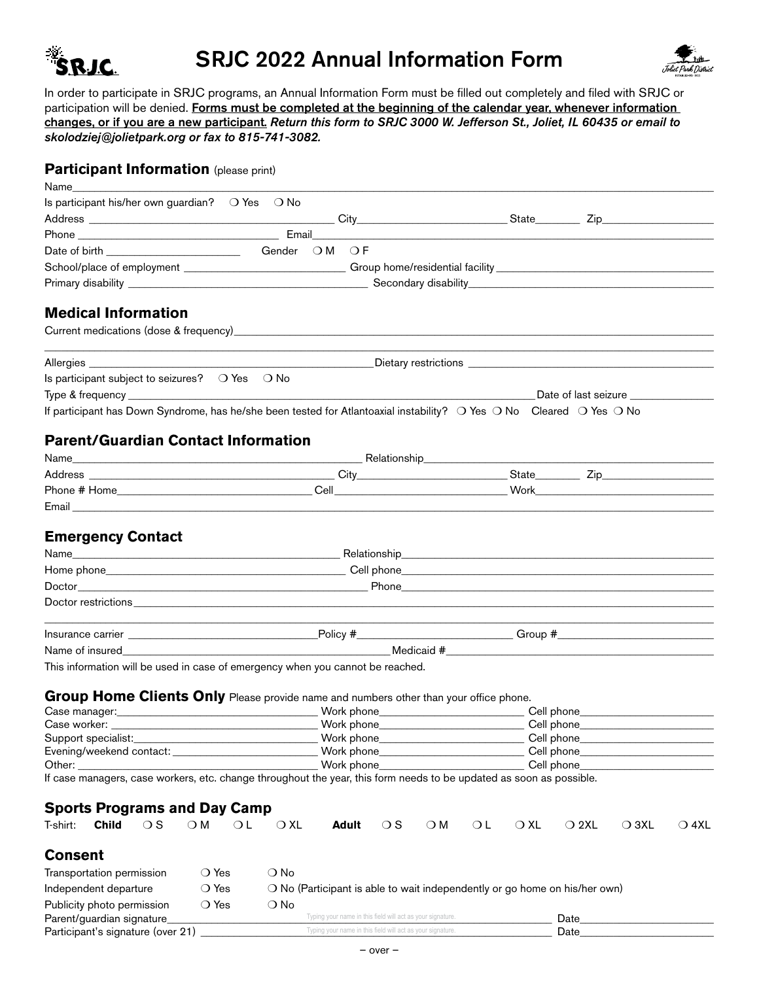

# SRJC 2022 Annual Information Form



In order to participate in SRJC programs, an Annual Information Form must be filled out completely and filed with SRJC or participation will be denied. Forms must be completed at the beginning of the calendar year, whenever information changes, or if you are a new participant. *Return this form to SRJC 3000 W. Jefferson St., Joliet, IL 60435 or email to skolodziej@jolietpark.org or fax to 815-741-3082.*

### **Participant Information** (please print)

| Name                                        |                            |              |                                                                                                                      |               |               |  |             |           |                                                             |     |               |                |                                                                                                                                                                                                                                |                |
|---------------------------------------------|----------------------------|--------------|----------------------------------------------------------------------------------------------------------------------|---------------|---------------|--|-------------|-----------|-------------------------------------------------------------|-----|---------------|----------------|--------------------------------------------------------------------------------------------------------------------------------------------------------------------------------------------------------------------------------|----------------|
|                                             |                            |              | Is participant his/her own guardian? O Yes O No                                                                      |               |               |  |             |           |                                                             |     |               |                |                                                                                                                                                                                                                                |                |
|                                             |                            |              |                                                                                                                      |               |               |  |             |           |                                                             |     |               |                |                                                                                                                                                                                                                                |                |
|                                             |                            |              |                                                                                                                      |               |               |  |             |           |                                                             |     |               |                |                                                                                                                                                                                                                                |                |
|                                             |                            |              |                                                                                                                      |               | Gender OM OF  |  |             |           |                                                             |     |               |                |                                                                                                                                                                                                                                |                |
|                                             |                            |              |                                                                                                                      |               |               |  |             |           |                                                             |     |               |                | School/place of employment ______________________________Group home/residential facility ___________________________                                                                                                           |                |
|                                             |                            |              |                                                                                                                      |               |               |  |             |           |                                                             |     |               |                |                                                                                                                                                                                                                                |                |
|                                             |                            |              |                                                                                                                      |               |               |  |             |           |                                                             |     |               |                |                                                                                                                                                                                                                                |                |
|                                             | <b>Medical Information</b> |              |                                                                                                                      |               |               |  |             |           |                                                             |     |               |                |                                                                                                                                                                                                                                |                |
|                                             |                            |              |                                                                                                                      |               |               |  |             |           |                                                             |     |               |                |                                                                                                                                                                                                                                |                |
|                                             |                            |              |                                                                                                                      |               |               |  |             |           |                                                             |     |               |                |                                                                                                                                                                                                                                |                |
|                                             | Allergies                  |              |                                                                                                                      |               |               |  |             |           |                                                             |     |               |                |                                                                                                                                                                                                                                |                |
|                                             |                            |              | Is participant subject to seizures? O Yes O No                                                                       |               |               |  |             |           |                                                             |     |               |                |                                                                                                                                                                                                                                |                |
|                                             |                            |              |                                                                                                                      |               |               |  |             |           |                                                             |     |               |                | Date of last seizure                                                                                                                                                                                                           |                |
|                                             |                            |              | If participant has Down Syndrome, has he/she been tested for Atlantoaxial instability? O Yes O No Cleared O Yes O No |               |               |  |             |           |                                                             |     |               |                |                                                                                                                                                                                                                                |                |
|                                             |                            |              | <b>Parent/Guardian Contact Information</b>                                                                           |               |               |  |             |           |                                                             |     |               |                |                                                                                                                                                                                                                                |                |
|                                             |                            |              |                                                                                                                      |               |               |  |             |           |                                                             |     |               |                |                                                                                                                                                                                                                                |                |
|                                             |                            |              |                                                                                                                      |               |               |  |             |           |                                                             |     |               |                |                                                                                                                                                                                                                                |                |
|                                             |                            |              |                                                                                                                      |               |               |  |             |           |                                                             |     |               |                |                                                                                                                                                                                                                                |                |
|                                             |                            |              |                                                                                                                      |               |               |  |             |           |                                                             |     |               |                |                                                                                                                                                                                                                                |                |
|                                             |                            |              |                                                                                                                      |               |               |  |             |           |                                                             |     |               |                |                                                                                                                                                                                                                                |                |
|                                             | <b>Emergency Contact</b>   |              |                                                                                                                      |               |               |  |             |           |                                                             |     |               |                |                                                                                                                                                                                                                                |                |
|                                             |                            |              |                                                                                                                      |               |               |  |             |           |                                                             |     |               |                |                                                                                                                                                                                                                                |                |
|                                             |                            |              |                                                                                                                      |               |               |  |             |           |                                                             |     |               |                |                                                                                                                                                                                                                                |                |
|                                             |                            |              |                                                                                                                      |               |               |  |             |           |                                                             |     |               |                |                                                                                                                                                                                                                                |                |
|                                             |                            |              |                                                                                                                      |               |               |  |             |           |                                                             |     |               |                |                                                                                                                                                                                                                                |                |
|                                             |                            |              |                                                                                                                      |               |               |  |             |           |                                                             |     |               |                | Doctor restrictions experience and the contract of the contract of the contract of the contract of the contract of the contract of the contract of the contract of the contract of the contract of the contract of the contrac |                |
|                                             |                            |              |                                                                                                                      |               |               |  |             |           |                                                             |     |               |                |                                                                                                                                                                                                                                |                |
|                                             |                            |              |                                                                                                                      |               |               |  |             |           |                                                             |     |               |                |                                                                                                                                                                                                                                |                |
|                                             |                            |              | This information will be used in case of emergency when you cannot be reached.                                       |               |               |  |             |           |                                                             |     |               |                |                                                                                                                                                                                                                                |                |
|                                             |                            |              |                                                                                                                      |               |               |  |             |           |                                                             |     |               |                |                                                                                                                                                                                                                                |                |
|                                             |                            |              | Group Home Clients Only Please provide name and numbers other than your office phone.                                |               |               |  |             |           |                                                             |     |               |                |                                                                                                                                                                                                                                |                |
|                                             |                            |              |                                                                                                                      |               |               |  |             |           |                                                             |     |               |                |                                                                                                                                                                                                                                |                |
|                                             | Case worker: ____________  |              |                                                                                                                      |               |               |  |             |           |                                                             |     |               |                |                                                                                                                                                                                                                                |                |
|                                             | Support specialist:        |              |                                                                                                                      |               |               |  | Work phone_ |           |                                                             |     |               |                |                                                                                                                                                                                                                                |                |
|                                             |                            |              | Evening/weekend contact:                                                                                             |               |               |  | Work phone_ |           | the control of the control of the control of the control of |     |               |                | Cell phone experience and the phone of the state of the state of the state of the state of the state of the state of the state of the state of the state of the state of the state of the state of the state of the state of t |                |
|                                             |                            |              | Other: will be a series of the contract of the contract of the contract of the contract of the contract of the       |               |               |  | Work phone_ |           |                                                             |     |               | Cell phone__   |                                                                                                                                                                                                                                |                |
|                                             |                            |              | If case managers, case workers, etc. change throughout the year, this form needs to be updated as soon as possible.  |               |               |  |             |           |                                                             |     |               |                |                                                                                                                                                                                                                                |                |
|                                             |                            |              |                                                                                                                      |               |               |  |             |           |                                                             |     |               |                |                                                                                                                                                                                                                                |                |
|                                             |                            |              | <b>Sports Programs and Day Camp</b>                                                                                  |               |               |  |             |           |                                                             |     |               |                |                                                                                                                                                                                                                                |                |
| T-shirt:                                    | <b>Child</b>               | $\bigcirc$ S | $\bigcirc$ M                                                                                                         | OL            | $\bigcirc$ XL |  | Adult       | $\circ$ s | $\bigcirc$ M                                                | O L | $\bigcirc$ XL | $\bigcirc$ 2XL | $\bigcirc$ 3XL                                                                                                                                                                                                                 | $\bigcirc$ 4XL |
|                                             |                            |              |                                                                                                                      |               |               |  |             |           |                                                             |     |               |                |                                                                                                                                                                                                                                |                |
| <b>Consent</b>                              |                            |              |                                                                                                                      |               |               |  |             |           |                                                             |     |               |                |                                                                                                                                                                                                                                |                |
| Transportation permission<br>$\bigcirc$ Yes |                            |              | $\bigcirc$ No<br>O No (Participant is able to wait independently or go home on his/her own)                          |               |               |  |             |           |                                                             |     |               |                |                                                                                                                                                                                                                                |                |
|                                             | Independent departure      |              | $\bigcirc$ Yes                                                                                                       |               |               |  |             |           |                                                             |     |               |                |                                                                                                                                                                                                                                |                |
| Publicity photo permission<br>◯ Yes         |                            |              |                                                                                                                      | $\bigcirc$ No |               |  |             |           |                                                             |     |               |                |                                                                                                                                                                                                                                |                |

| Parent/guardian signature         | ng vour name in this field will act as vour signature.    | Jate |  |
|-----------------------------------|-----------------------------------------------------------|------|--|
| Participant's signature (over 21) | yping your name in this field will act as your signature. | Date |  |